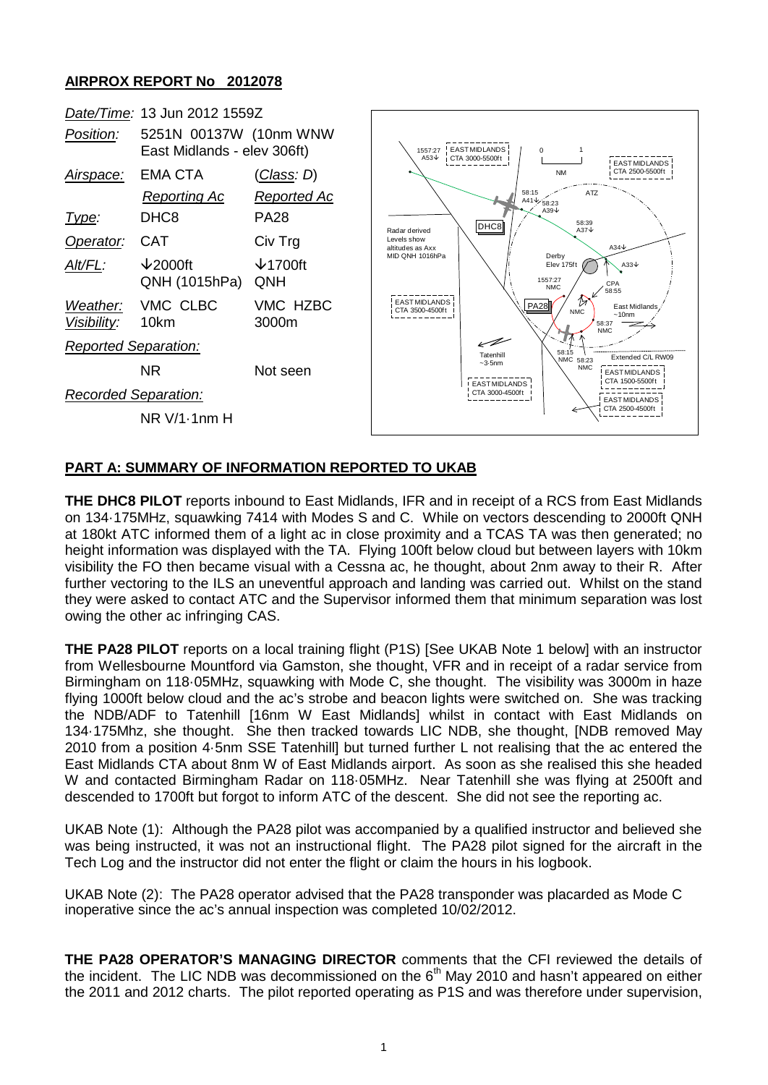## **AIRPROX REPORT No 2012078**



## **PART A: SUMMARY OF INFORMATION REPORTED TO UKAB**

**THE DHC8 PILOT** reports inbound to East Midlands, IFR and in receipt of a RCS from East Midlands on 134·175MHz, squawking 7414 with Modes S and C. While on vectors descending to 2000ft QNH at 180kt ATC informed them of a light ac in close proximity and a TCAS TA was then generated; no height information was displayed with the TA. Flying 100ft below cloud but between layers with 10km visibility the FO then became visual with a Cessna ac, he thought, about 2nm away to their R. After further vectoring to the ILS an uneventful approach and landing was carried out. Whilst on the stand they were asked to contact ATC and the Supervisor informed them that minimum separation was lost owing the other ac infringing CAS.

**THE PA28 PILOT** reports on a local training flight (P1S) [See UKAB Note 1 below] with an instructor from Wellesbourne Mountford via Gamston, she thought, VFR and in receipt of a radar service from Birmingham on 118·05MHz, squawking with Mode C, she thought. The visibility was 3000m in haze flying 1000ft below cloud and the ac's strobe and beacon lights were switched on. She was tracking the NDB/ADF to Tatenhill [16nm W East Midlands] whilst in contact with East Midlands on 134·175Mhz, she thought. She then tracked towards LIC NDB, she thought, [NDB removed May 2010 from a position 4·5nm SSE Tatenhill] but turned further L not realising that the ac entered the East Midlands CTA about 8nm W of East Midlands airport. As soon as she realised this she headed W and contacted Birmingham Radar on 118·05MHz. Near Tatenhill she was flying at 2500ft and descended to 1700ft but forgot to inform ATC of the descent. She did not see the reporting ac.

UKAB Note (1): Although the PA28 pilot was accompanied by a qualified instructor and believed she was being instructed, it was not an instructional flight. The PA28 pilot signed for the aircraft in the Tech Log and the instructor did not enter the flight or claim the hours in his logbook.

UKAB Note (2): The PA28 operator advised that the PA28 transponder was placarded as Mode C inoperative since the ac's annual inspection was completed 10/02/2012.

**THE PA28 OPERATOR'S MANAGING DIRECTOR** comments that the CFI reviewed the details of the incident. The LIC NDB was decommissioned on the  $6<sup>th</sup>$  May 2010 and hasn't appeared on either the 2011 and 2012 charts. The pilot reported operating as P1S and was therefore under supervision,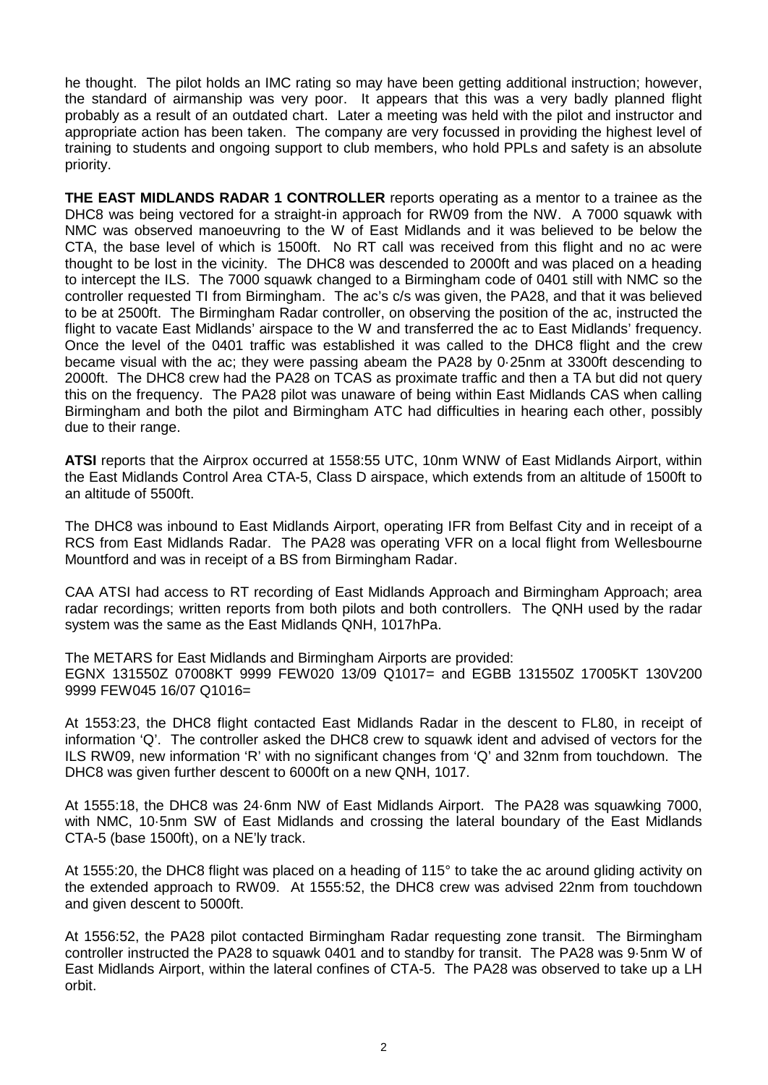he thought. The pilot holds an IMC rating so may have been getting additional instruction; however, the standard of airmanship was very poor. It appears that this was a very badly planned flight probably as a result of an outdated chart. Later a meeting was held with the pilot and instructor and appropriate action has been taken. The company are very focussed in providing the highest level of training to students and ongoing support to club members, who hold PPLs and safety is an absolute priority.

**THE EAST MIDLANDS RADAR 1 CONTROLLER** reports operating as a mentor to a trainee as the DHC8 was being vectored for a straight-in approach for RW09 from the NW. A 7000 squawk with NMC was observed manoeuvring to the W of East Midlands and it was believed to be below the CTA, the base level of which is 1500ft. No RT call was received from this flight and no ac were thought to be lost in the vicinity. The DHC8 was descended to 2000ft and was placed on a heading to intercept the ILS. The 7000 squawk changed to a Birmingham code of 0401 still with NMC so the controller requested TI from Birmingham. The ac's c/s was given, the PA28, and that it was believed to be at 2500ft. The Birmingham Radar controller, on observing the position of the ac, instructed the flight to vacate East Midlands' airspace to the W and transferred the ac to East Midlands' frequency. Once the level of the 0401 traffic was established it was called to the DHC8 flight and the crew became visual with the ac; they were passing abeam the PA28 by 0·25nm at 3300ft descending to 2000ft. The DHC8 crew had the PA28 on TCAS as proximate traffic and then a TA but did not query this on the frequency. The PA28 pilot was unaware of being within East Midlands CAS when calling Birmingham and both the pilot and Birmingham ATC had difficulties in hearing each other, possibly due to their range.

**ATSI** reports that the Airprox occurred at 1558:55 UTC, 10nm WNW of East Midlands Airport, within the East Midlands Control Area CTA-5, Class D airspace, which extends from an altitude of 1500ft to an altitude of 5500ft.

The DHC8 was inbound to East Midlands Airport, operating IFR from Belfast City and in receipt of a RCS from East Midlands Radar. The PA28 was operating VFR on a local flight from Wellesbourne Mountford and was in receipt of a BS from Birmingham Radar.

CAA ATSI had access to RT recording of East Midlands Approach and Birmingham Approach; area radar recordings; written reports from both pilots and both controllers. The QNH used by the radar system was the same as the East Midlands QNH, 1017hPa.

The METARS for East Midlands and Birmingham Airports are provided: EGNX 131550Z 07008KT 9999 FEW020 13/09 Q1017= and EGBB 131550Z 17005KT 130V200 9999 FEW045 16/07 Q1016=

At 1553:23, the DHC8 flight contacted East Midlands Radar in the descent to FL80, in receipt of information 'Q'. The controller asked the DHC8 crew to squawk ident and advised of vectors for the ILS RW09, new information 'R' with no significant changes from 'Q' and 32nm from touchdown. The DHC8 was given further descent to 6000ft on a new QNH, 1017.

At 1555:18, the DHC8 was 24·6nm NW of East Midlands Airport. The PA28 was squawking 7000, with NMC, 10·5nm SW of East Midlands and crossing the lateral boundary of the East Midlands CTA-5 (base 1500ft), on a NE'ly track.

At 1555:20, the DHC8 flight was placed on a heading of 115° to take the ac around gliding activity on the extended approach to RW09. At 1555:52, the DHC8 crew was advised 22nm from touchdown and given descent to 5000ft.

At 1556:52, the PA28 pilot contacted Birmingham Radar requesting zone transit. The Birmingham controller instructed the PA28 to squawk 0401 and to standby for transit. The PA28 was 9·5nm W of East Midlands Airport, within the lateral confines of CTA-5. The PA28 was observed to take up a LH orbit.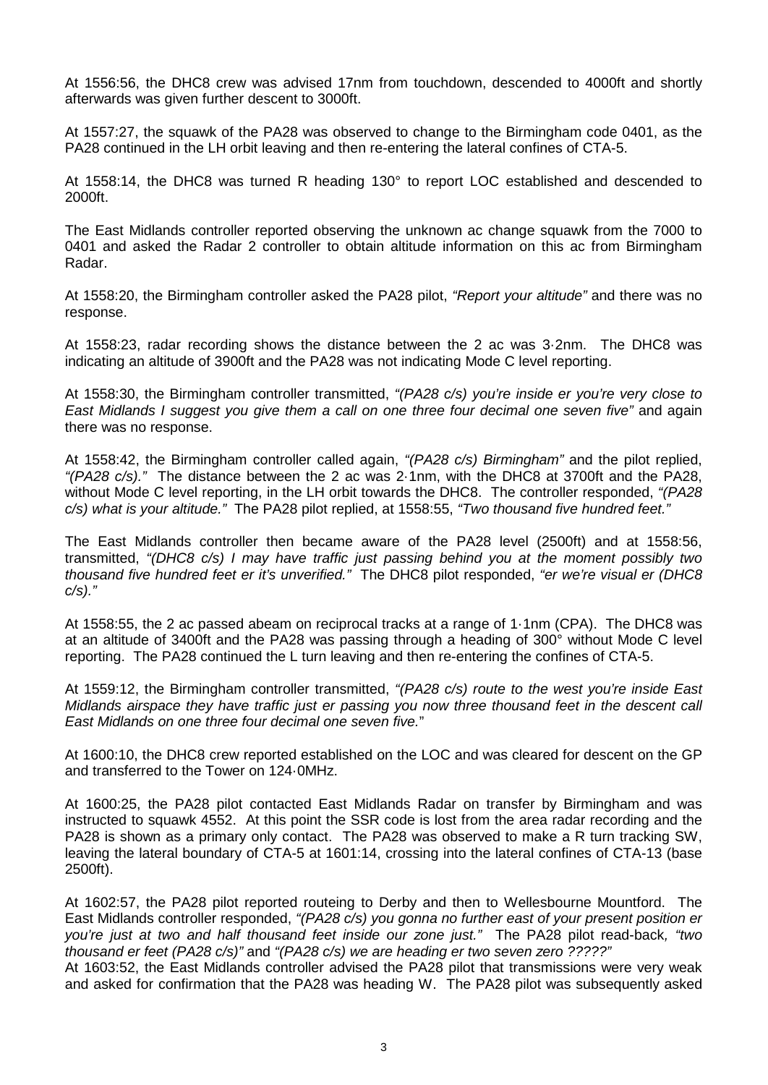At 1556:56, the DHC8 crew was advised 17nm from touchdown, descended to 4000ft and shortly afterwards was given further descent to 3000ft.

At 1557:27, the squawk of the PA28 was observed to change to the Birmingham code 0401, as the PA28 continued in the LH orbit leaving and then re-entering the lateral confines of CTA-5.

At 1558:14, the DHC8 was turned R heading 130° to report LOC established and descended to 2000ft.

The East Midlands controller reported observing the unknown ac change squawk from the 7000 to 0401 and asked the Radar 2 controller to obtain altitude information on this ac from Birmingham Radar.

At 1558:20, the Birmingham controller asked the PA28 pilot, *"Report your altitude"* and there was no response.

At 1558:23, radar recording shows the distance between the 2 ac was 3·2nm. The DHC8 was indicating an altitude of 3900ft and the PA28 was not indicating Mode C level reporting.

At 1558:30, the Birmingham controller transmitted, *"(PA28 c/s) you're inside er you're very close to East Midlands I suggest you give them a call on one three four decimal one seven five"* and again there was no response.

At 1558:42, the Birmingham controller called again, *"(PA28 c/s) Birmingham"* and the pilot replied, *"(PA28 c/s)."* The distance between the 2 ac was 2·1nm, with the DHC8 at 3700ft and the PA28, without Mode C level reporting, in the LH orbit towards the DHC8. The controller responded, *"(PA28 c/s) what is your altitude."* The PA28 pilot replied, at 1558:55, *"Two thousand five hundred feet."*

The East Midlands controller then became aware of the PA28 level (2500ft) and at 1558:56, transmitted, *"(DHC8 c/s) I may have traffic just passing behind you at the moment possibly two thousand five hundred feet er it's unverified."* The DHC8 pilot responded, *"er we're visual er (DHC8 c/s)."*

At 1558:55, the 2 ac passed abeam on reciprocal tracks at a range of 1·1nm (CPA). The DHC8 was at an altitude of 3400ft and the PA28 was passing through a heading of 300° without Mode C level reporting. The PA28 continued the L turn leaving and then re-entering the confines of CTA-5.

At 1559:12, the Birmingham controller transmitted, *"(PA28 c/s) route to the west you're inside East Midlands airspace they have traffic just er passing you now three thousand feet in the descent call East Midlands on one three four decimal one seven five.*"

At 1600:10, the DHC8 crew reported established on the LOC and was cleared for descent on the GP and transferred to the Tower on 124·0MHz.

At 1600:25, the PA28 pilot contacted East Midlands Radar on transfer by Birmingham and was instructed to squawk 4552. At this point the SSR code is lost from the area radar recording and the PA28 is shown as a primary only contact. The PA28 was observed to make a R turn tracking SW, leaving the lateral boundary of CTA-5 at 1601:14, crossing into the lateral confines of CTA-13 (base 2500ft).

At 1602:57, the PA28 pilot reported routeing to Derby and then to Wellesbourne Mountford. The East Midlands controller responded, *"(PA28 c/s) you gonna no further east of your present position er you're just at two and half thousand feet inside our zone just."* The PA28 pilot read-back*, "two thousand er feet (PA28 c/s)"* and *"(PA28 c/s) we are heading er two seven zero ?????"*

At 1603:52, the East Midlands controller advised the PA28 pilot that transmissions were very weak and asked for confirmation that the PA28 was heading W. The PA28 pilot was subsequently asked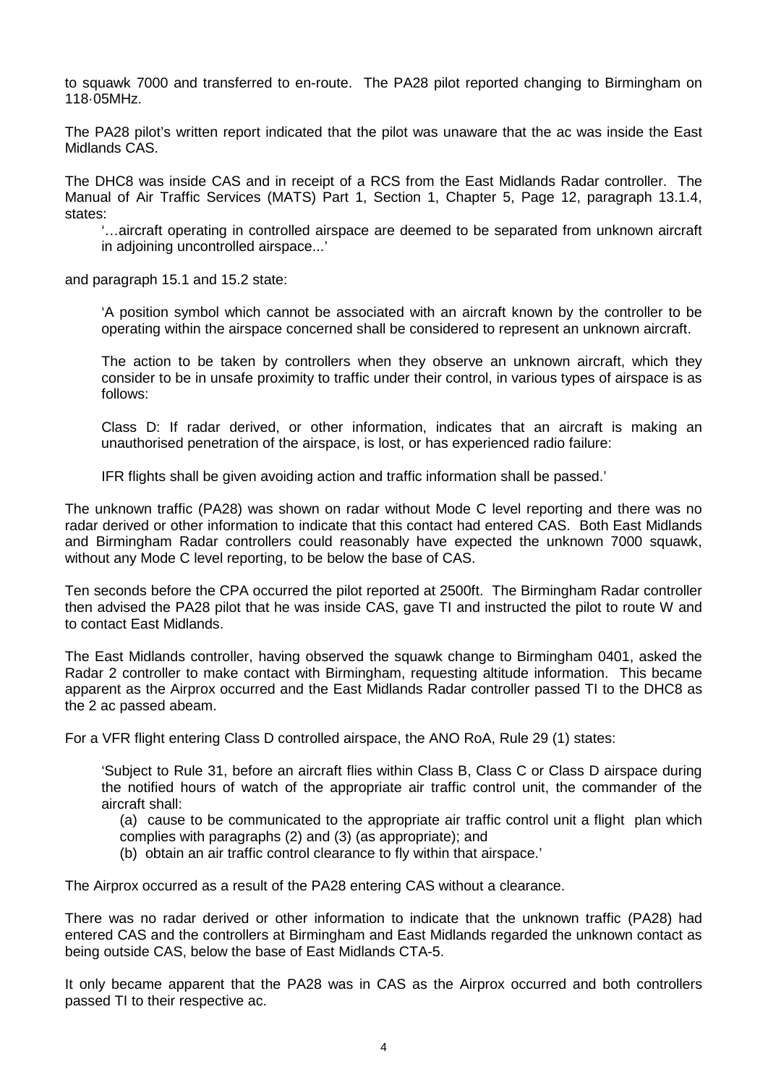to squawk 7000 and transferred to en-route. The PA28 pilot reported changing to Birmingham on 118·05MHz.

The PA28 pilot's written report indicated that the pilot was unaware that the ac was inside the East Midlands CAS.

The DHC8 was inside CAS and in receipt of a RCS from the East Midlands Radar controller. The Manual of Air Traffic Services (MATS) Part 1, Section 1, Chapter 5, Page 12, paragraph 13.1.4, states:

'…aircraft operating in controlled airspace are deemed to be separated from unknown aircraft in adjoining uncontrolled airspace...'

and paragraph 15.1 and 15.2 state:

'A position symbol which cannot be associated with an aircraft known by the controller to be operating within the airspace concerned shall be considered to represent an unknown aircraft.

The action to be taken by controllers when they observe an unknown aircraft, which they consider to be in unsafe proximity to traffic under their control, in various types of airspace is as follows:

Class D: If radar derived, or other information, indicates that an aircraft is making an unauthorised penetration of the airspace, is lost, or has experienced radio failure:

IFR flights shall be given avoiding action and traffic information shall be passed.'

The unknown traffic (PA28) was shown on radar without Mode C level reporting and there was no radar derived or other information to indicate that this contact had entered CAS. Both East Midlands and Birmingham Radar controllers could reasonably have expected the unknown 7000 squawk, without any Mode C level reporting, to be below the base of CAS.

Ten seconds before the CPA occurred the pilot reported at 2500ft. The Birmingham Radar controller then advised the PA28 pilot that he was inside CAS, gave TI and instructed the pilot to route W and to contact East Midlands.

The East Midlands controller, having observed the squawk change to Birmingham 0401, asked the Radar 2 controller to make contact with Birmingham, requesting altitude information. This became apparent as the Airprox occurred and the East Midlands Radar controller passed TI to the DHC8 as the 2 ac passed abeam.

For a VFR flight entering Class D controlled airspace, the ANO RoA, Rule 29 (1) states:

'Subject to Rule 31, before an aircraft flies within Class B, Class C or Class D airspace during the notified hours of watch of the appropriate air traffic control unit, the commander of the aircraft shall:

(a) cause to be communicated to the appropriate air traffic control unit a flight plan which

- complies with paragraphs (2) and (3) (as appropriate); and
- (b) obtain an air traffic control clearance to fly within that airspace.'

The Airprox occurred as a result of the PA28 entering CAS without a clearance.

There was no radar derived or other information to indicate that the unknown traffic (PA28) had entered CAS and the controllers at Birmingham and East Midlands regarded the unknown contact as being outside CAS, below the base of East Midlands CTA-5.

It only became apparent that the PA28 was in CAS as the Airprox occurred and both controllers passed TI to their respective ac.